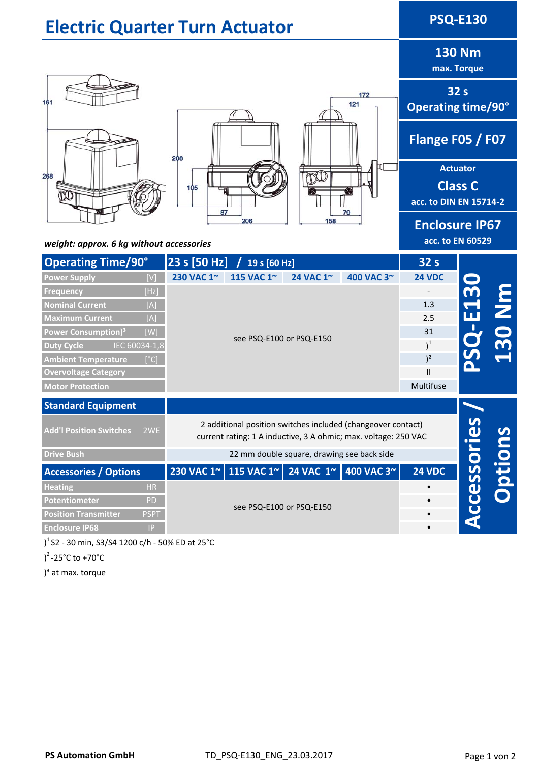| <b>Electric Quarter Turn Actuator</b>                              |                   |                                                                                                                                                |              |                                              |                                                             | <b>PSQ-E130</b>                           |                              |
|--------------------------------------------------------------------|-------------------|------------------------------------------------------------------------------------------------------------------------------------------------|--------------|----------------------------------------------|-------------------------------------------------------------|-------------------------------------------|------------------------------|
|                                                                    |                   |                                                                                                                                                |              |                                              |                                                             |                                           | <b>130 Nm</b><br>max. Torque |
| 161                                                                | 172<br>121<br>268 |                                                                                                                                                |              | 32 <sub>s</sub><br><b>Operating time/90°</b> |                                                             |                                           |                              |
|                                                                    |                   |                                                                                                                                                |              | Flange F05 / F07                             |                                                             |                                           |                              |
| 268                                                                | 105               |                                                                                                                                                |              |                                              | <b>Actuator</b><br><b>Class C</b><br>acc. to DIN EN 15714-2 |                                           |                              |
| 87<br>79<br>158<br>206<br>weight: approx. 6 kg without accessories |                   |                                                                                                                                                |              |                                              |                                                             | <b>Enclosure IP67</b><br>acc. to EN 60529 |                              |
| <b>Operating Time/90°</b>                                          |                   | 23 s [50 Hz]                                                                                                                                   | 19 s [60 Hz] |                                              |                                                             | 32 <sub>s</sub>                           |                              |
| <b>Power Supply</b>                                                | [V]               | 230 VAC 1~                                                                                                                                     | 115 VAC 1~   | 24 VAC 1~                                    | 400 VAC 3~                                                  | <b>24 VDC</b>                             |                              |
| <b>Frequency</b>                                                   | [Hz]              |                                                                                                                                                |              |                                              |                                                             |                                           |                              |
| <b>Nominal Current</b>                                             | [A]               | see PSQ-E100 or PSQ-E150                                                                                                                       |              |                                              |                                                             | 1.3                                       | i<br>N<br>A                  |
| <b>Maximum Current</b>                                             | [A]               |                                                                                                                                                |              |                                              |                                                             | 2.5                                       | $\blacksquare$               |
| Power Consumption) <sup>3</sup>                                    | [W]               |                                                                                                                                                |              |                                              |                                                             | 31                                        |                              |
| IEC 60034-1,8<br><b>Duty Cycle</b>                                 |                   |                                                                                                                                                |              |                                              |                                                             | $)^{1}$                                   |                              |
| <b>Ambient Temperature</b>                                         | [°C]              |                                                                                                                                                |              |                                              |                                                             | $)^2$                                     |                              |
| <b>Overvoltage Category</b>                                        |                   |                                                                                                                                                |              |                                              |                                                             | $\mathbf{I}$<br>Multifuse                 |                              |
| <b>Motor Protection</b>                                            |                   |                                                                                                                                                |              |                                              |                                                             |                                           |                              |
| <b>Standard Equipment</b>                                          |                   |                                                                                                                                                |              |                                              |                                                             |                                           |                              |
| <b>Add'l Position Switches</b>                                     | 2WE               | 2 additional position switches included (changeover contact)<br>Accessories<br>current rating: 1 A inductive, 3 A ohmic; max. voltage: 250 VAC |              |                                              |                                                             |                                           |                              |
| <b>Drive Bush</b>                                                  |                   | 22 mm double square, drawing see back side                                                                                                     |              |                                              |                                                             |                                           |                              |
| <b>Accessories / Options</b>                                       |                   |                                                                                                                                                |              |                                              | 230 VAC 1~ 115 VAC 1~ 24 VAC 1~ 400 VAC 3~                  | <b>24 VDC</b>                             | ptions                       |
| <b>Heating</b>                                                     | HR                |                                                                                                                                                |              |                                              |                                                             |                                           |                              |
| Potentiometer                                                      | PD                | see PSQ-E100 or PSQ-E150                                                                                                                       |              |                                              |                                                             |                                           |                              |
| <b>Position Transmitter</b>                                        | <b>PSPT</b>       |                                                                                                                                                |              |                                              |                                                             |                                           |                              |
| <b>Enclosure IP68</b>                                              | P                 |                                                                                                                                                |              |                                              |                                                             | $\bullet$                                 |                              |

) 1 S2 ‐ 30 min, S3/S4 1200 c/h ‐ 50% ED at 25°C

) 2 ‐25°C to +70°C

)<sup>3</sup> at max. torque